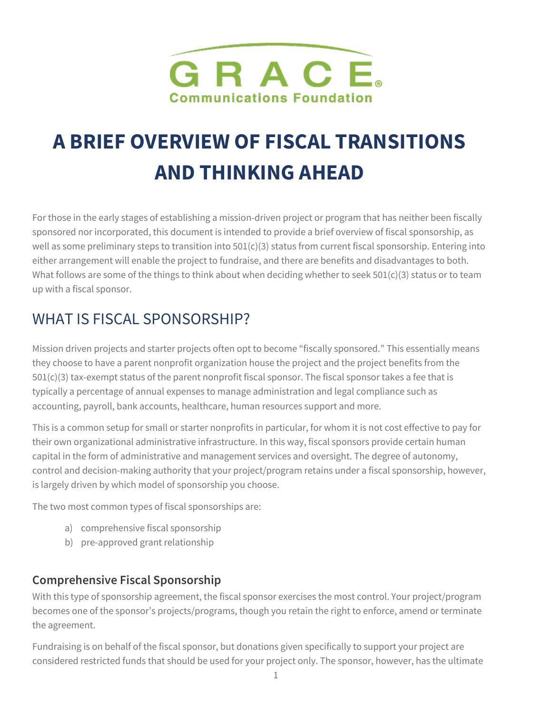

# **A BRIEF OVERVIEW OF FISCAL TRANSITIONS AND THINKING AHEAD**

For those in the early stages of establishing a mission-driven project or program that has neither been fiscally sponsored nor incorporated, this document is intended to provide a brief overview of fiscal sponsorship, as well as some preliminary steps to transition into  $501(c)(3)$  status from current fiscal sponsorship. Entering into either arrangement will enable the project to fundraise, and there are benefits and disadvantages to both. What follows are some of the things to think about when deciding whether to seek  $501(c)(3)$  status or to team up with a fiscal sponsor.

# WHAT IS FISCAL SPONSORSHIP?

Mission driven projects and starter projects often opt to become "fiscally sponsored." This essentially means they choose to have a parent nonprofit organization house the project and the project benefits from the 501(c)(3) tax-exempt status of the parent nonprofit fiscal sponsor. The fiscal sponsor takes a fee that is typically a percentage of annual expenses to manage administration and legal compliance such as accounting, payroll, bank accounts, healthcare, human resources support and more.

This is a common setup for small or starter nonprofits in particular, for whom it is not cost effective to pay for their own organizational administrative infrastructure. In this way, fiscal sponsors provide certain human capital in the form of administrative and management services and oversight. The degree of autonomy, control and decision-making authority that your project/program retains under a fiscal sponsorship, however, is largely driven by which model of sponsorship you choose.

The two most common types of fiscal sponsorships are:

- a) comprehensive fiscal sponsorship
- b) pre-approved grant relationship

#### **Comprehensive Fiscal Sponsorship**

With this type of sponsorship agreement, the fiscal sponsor exercises the most control. Your project/program becomes one of the sponsor's projects/programs, though you retain the right to enforce, amend or terminate the agreement.

Fundraising is on behalf of the fiscal sponsor, but donations given specifically to support your project are considered restricted funds that should be used for your project only. The sponsor, however, has the ultimate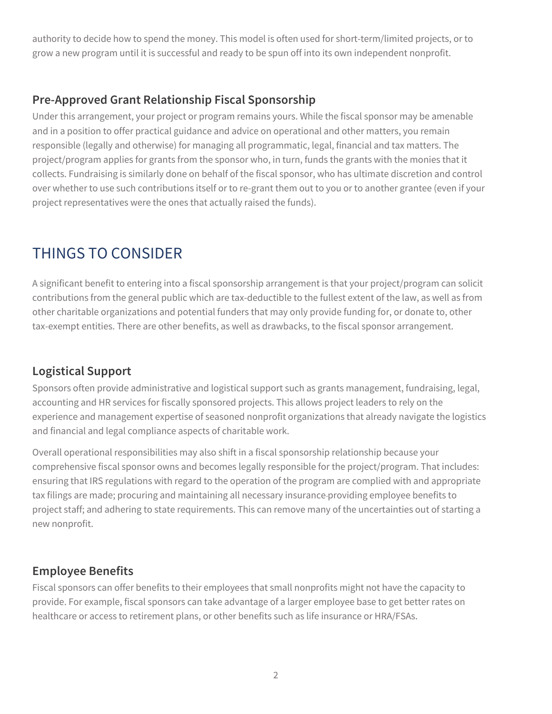authority to decide how to spend the money. This model is often used for short-term/limited projects, or to grow a new program until it is successful and ready to be spun off into its own independent nonprofit.

### **Pre-Approved Grant Relationship Fiscal Sponsorship**

Under this arrangement, your project or program remains yours. While the fiscal sponsor may be amenable and in a position to offer practical guidance and advice on operational and other matters, you remain responsible (legally and otherwise) for managing all programmatic, legal, financial and tax matters. The project/program applies for grants from the sponsor who, in turn, funds the grants with the monies that it collects. Fundraising is similarly done on behalf of the fiscal sponsor, who has ultimate discretion and control over whether to use such contributions itself or to re-grant them out to you or to another grantee (even if your project representatives were the ones that actually raised the funds).

# THINGS TO CONSIDER

A significant benefit to entering into a fiscal sponsorship arrangement is that your project/program can solicit contributions from the general public which are tax-deductible to the fullest extent of the law, as well as from other charitable organizations and potential funders that may only provide funding for, or donate to, other tax-exempt entities. There are other benefits, as well as drawbacks, to the fiscal sponsor arrangement.

## **Logistical Support**

Sponsors often provide administrative and logistical support such as grants management, fundraising, legal, accounting and HR services for fiscally sponsored projects. This allows project leaders to rely on the experience and management expertise of seasoned nonprofit organizations that already navigate the logistics and financial and legal compliance aspects of charitable work.

Overall operational responsibilities may also shift in a fiscal sponsorship relationship because your comprehensive fiscal sponsor owns and becomes legally responsible for the project/program. That includes: ensuring that IRS regulations with regard to the operation of the program are complied with and appropriate tax filings are made; procuring and maintaining all necessary insurance providing employee benefits to project staff; and adhering to state requirements. This can remove many of the uncertainties out of starting a new nonprofit.

### **Employee Benefits**

Fiscal sponsors can offer benefits to their employees that small nonprofits might not have the capacity to provide. For example, fiscal sponsors can take advantage of a larger employee base to get better rates on healthcare or access to retirement plans, or other benefits such as life insurance or HRA/FSAs.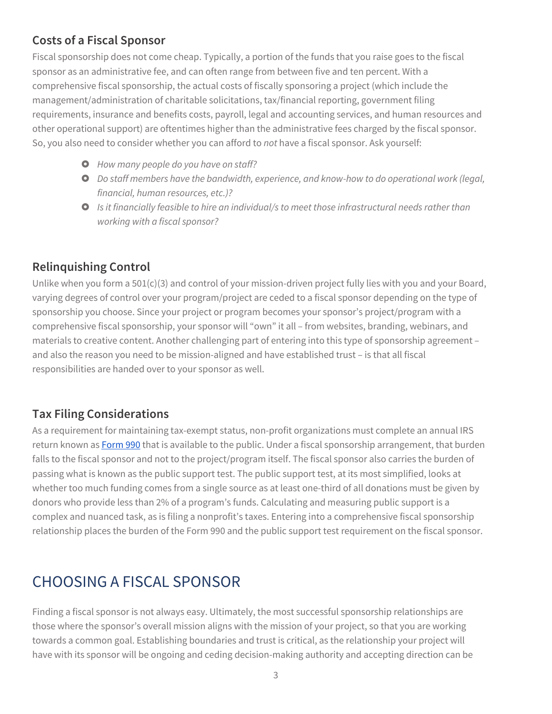## **Costs of a Fiscal Sponsor**

Fiscal sponsorship does not come cheap. Typically, a portion of the funds that you raise goes to the fiscal sponsor as an administrative fee, and can often range from between five and ten percent. With a comprehensive fiscal sponsorship, the actual costs of fiscally sponsoring a project (which include the management/administration of charitable solicitations, tax/financial reporting, government filing requirements, insurance and benefits costs, payroll, legal and accounting services, and human resources and other operational support) are oftentimes higher than the administrative fees charged by the fiscal sponsor. So, you also need to consider whether you can afford to *not* have a fiscal sponsor. Ask yourself:

- £ *How many people do you have on staff?*
- £ *Do staff members have the bandwidth, experience, and know-how to do operational work (legal, financial, human resources, etc.)?*
- £ *Is it financially feasible to hire an individual/s to meet those infrastructural needs rather than working with a fiscal sponsor?*

### **Relinquishing Control**

Unlike when you form a 501(c)(3) and control of your mission-driven project fully lies with you and your Board, varying degrees of control over your program/project are ceded to a fiscal sponsor depending on the type of sponsorship you choose. Since your project or program becomes your sponsor's project/program with a comprehensive fiscal sponsorship, your sponsor will "own" it all – from websites, branding, webinars, and materials to creative content. Another challenging part of entering into this type of sponsorship agreement – and also the reason you need to be mission-aligned and have established trust – is that all fiscal responsibilities are handed over to your sponsor as well.

#### **Tax Filing Considerations**

As a requirement for maintaining tax-exempt status, non-profit organizations must complete an annual IRS return known as **Form 990** that is available to the public. Under a fiscal sponsorship arrangement, that burden falls to the fiscal sponsor and not to the project/program itself. The fiscal sponsor also carries the burden of passing what is known as the public support test. The public support test, at its most simplified, looks at whether too much funding comes from a single source as at least one-third of all donations must be given by donors who provide less than 2% of a program's funds. Calculating and measuring public support is a complex and nuanced task, as is filing a nonprofit's taxes. Entering into a comprehensive fiscal sponsorship relationship places the burden of the Form 990 and the public support test requirement on the fiscal sponsor.

# CHOOSING A FISCAL SPONSOR

Finding a fiscal sponsor is not always easy. Ultimately, the most successful sponsorship relationships are those where the sponsor's overall mission aligns with the mission of your project, so that you are working towards a common goal. Establishing boundaries and trust is critical, as the relationship your project will have with its sponsor will be ongoing and ceding decision-making authority and accepting direction can be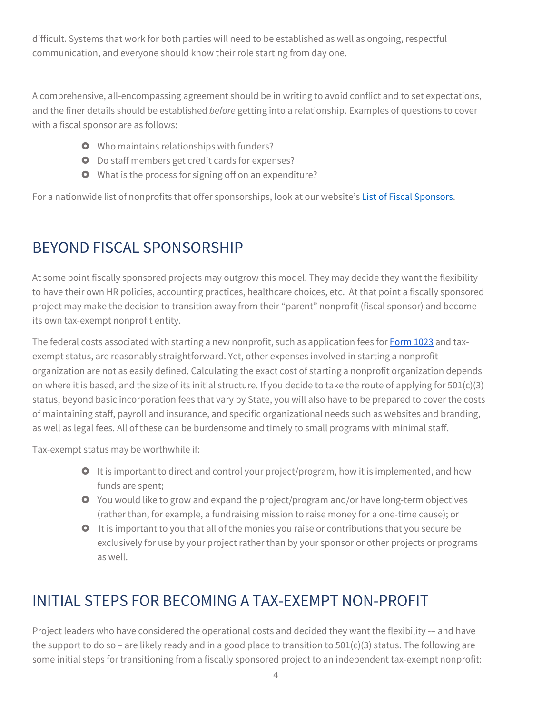difficult. Systems that work for both parties will need to be established as well as ongoing, respectful communication, and everyone should know their role starting from day one.

A comprehensive, all-encompassing agreement should be in writing to avoid conflict and to set expectations, and the finer details should be established *before* getting into a relationship. Examples of questions to cover with a fiscal sponsor are as follows:

- **O** Who maintains relationships with funders?
- **O** Do staff members get credit cards for expenses?
- **O** What is the process for signing off on an expenditure?

For a nationwide list of nonprofits that offer sponsorships, look at our website's List of Fiscal Sponsors.

# BEYOND FISCAL SPONSORSHIP

At some point fiscally sponsored projects may outgrow this model. They may decide they want the flexibility to have their own HR policies, accounting practices, healthcare choices, etc. At that point a fiscally sponsored project may make the decision to transition away from their "parent" nonprofit (fiscal sponsor) and become its own tax-exempt nonprofit entity.

The federal costs associated with starting a new nonprofit, such as application fees for **Form 1023** and taxexempt status, are reasonably straightforward. Yet, other expenses involved in starting a nonprofit organization are not as easily defined. Calculating the exact cost of starting a nonprofit organization depends on where it is based, and the size of its initial structure. If you decide to take the route of applying for  $501(c)(3)$ status, beyond basic incorporation fees that vary by State, you will also have to be prepared to cover the costs of maintaining staff, payroll and insurance, and specific organizational needs such as websites and branding, as well as legal fees. All of these can be burdensome and timely to small programs with minimal staff.

Tax-exempt status may be worthwhile if:

- **O** It is important to direct and control your project/program, how it is implemented, and how funds are spent;
- $\bullet$  You would like to grow and expand the project/program and/or have long-term objectives (rather than, for example, a fundraising mission to raise money for a one-time cause); or
- $\bullet$  It is important to you that all of the monies you raise or contributions that you secure be exclusively for use by your project rather than by your sponsor or other projects or programs as well.

# INITIAL STEPS FOR BECOMING A TAX-EXEMPT NON-PROFIT

Project leaders who have considered the operational costs and decided they want the flexibility -- and have the support to do so - are likely ready and in a good place to transition to  $501(c)(3)$  status. The following are some initial steps for transitioning from a fiscally sponsored project to an independent tax-exempt nonprofit: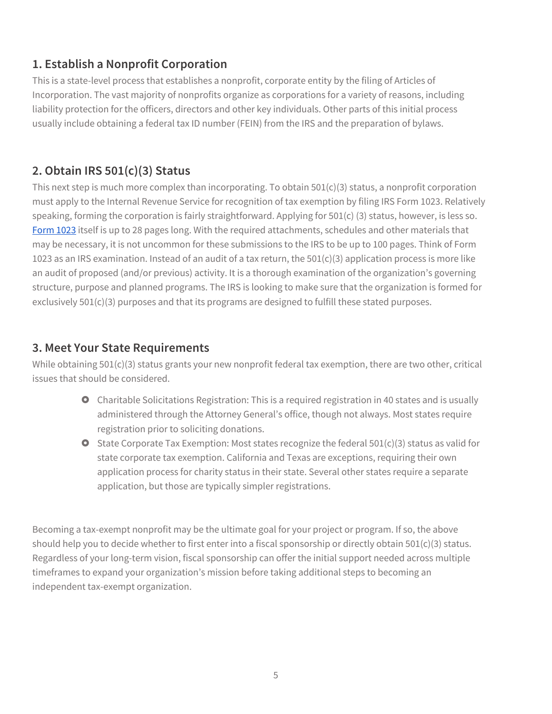### **1. Establish a Nonprofit Corporation**

This is a state-level process that establishes a nonprofit, corporate entity by the filing of Articles of Incorporation. The vast majority of nonprofits organize as corporations for a variety of reasons, including liability protection for the officers, directors and other key individuals. Other parts of this initial process usually include obtaining a federal tax ID number (FEIN) from the IRS and the preparation of bylaws.

## **2. Obtain IRS 501(c)(3) Status**

This next step is much more complex than incorporating. To obtain  $501(c)(3)$  status, a nonprofit corporation must apply to the Internal Revenue Service for recognition of tax exemption by filing IRS Form 1023. Relatively speaking, forming the corporation is fairly straightforward. Applying for 501(c) (3) status, however, is less so. Form 1023 itself is up to 28 pages long. With the required attachments, schedules and other materials that may be necessary, it is not uncommon for these submissions to the IRS to be up to 100 pages. Think of Form 1023 as an IRS examination. Instead of an audit of a tax return, the 501(c)(3) application process is more like an audit of proposed (and/or previous) activity. It is a thorough examination of the organization's governing structure, purpose and planned programs. The IRS is looking to make sure that the organization is formed for exclusively 501(c)(3) purposes and that its programs are designed to fulfill these stated purposes.

#### **3. Meet Your State Requirements**

While obtaining 501(c)(3) status grants your new nonprofit federal tax exemption, there are two other, critical issues that should be considered.

- **O** Charitable Solicitations Registration: This is a required registration in 40 states and is usually administered through the Attorney General's office, though not always. Most states require registration prior to soliciting donations.
- $\bullet$  State Corporate Tax Exemption: Most states recognize the federal 501(c)(3) status as valid for state corporate tax exemption. California and Texas are exceptions, requiring their own application process for charity status in their state. Several other states require a separate application, but those are typically simpler registrations.

Becoming a tax-exempt nonprofit may be the ultimate goal for your project or program. If so, the above should help you to decide whether to first enter into a fiscal sponsorship or directly obtain 501(c)(3) status. Regardless of your long-term vision, fiscal sponsorship can offer the initial support needed across multiple timeframes to expand your organization's mission before taking additional steps to becoming an independent tax-exempt organization.